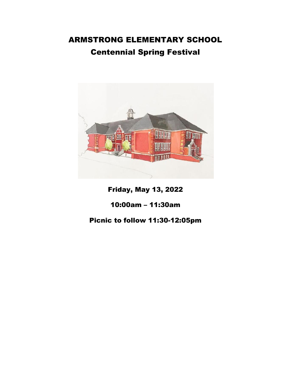# ARMSTRONG ELEMENTARY SCHOOL Centennial Spring Festival



Friday, May 13, 2022

## 10:00am – 11:30am

## Picnic to follow 11:30-12:05pm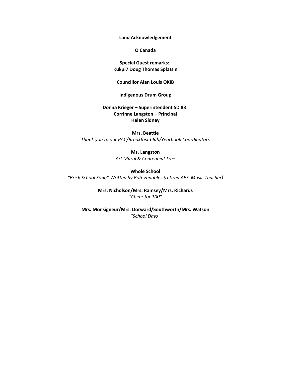**Land Acknowledgement**

**O Canada**

**Special Guest remarks: Kukpi7 Doug Thomas Splatsin**

**Councillor Alan Louis OKIB**

#### **Indigenous Drum Group**

**Donna Krieger – Superintendent SD 83 Corrinne Langston – Principal Helen Sidney**

#### **Mrs. Beattie**

*Thank you to our PAC/Breakfast Club/Yearbook Coordinators*

#### **Ms. Langston**

*Art Mural & Centennial Tree*

**Whole School** *"Brick School Song" Written by Bob Venables (retired AES Music Teacher)*

> **Mrs. Nicholson/Mrs. Ramsey/Mrs. Richards** *"Cheer for 100"*

**Mrs. Monsigneur/Mrs. Dorward/Southworth/Mrs. Watson** *"School Days"*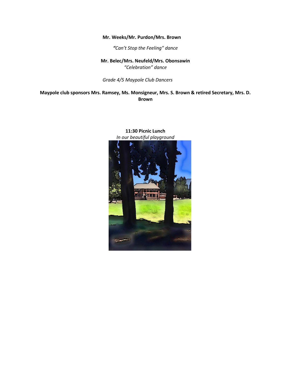#### **Mr. Weeks/Mr. Purdon/Mrs. Brown**

*"Can't Stop the Feeling" dance*

**Mr. Belec/Mrs. Neufeld/Mrs. Obonsawin** *"Celebration" dance*

*Grade 4/5 Maypole Club Dancers*

**Maypole club sponsors Mrs. Ramsey, Ms. Monsigneur, Mrs. S. Brown & retired Secretary, Mrs. D. Brown** 



### **11:30 Picnic Lunch** *In our beautiful playground*